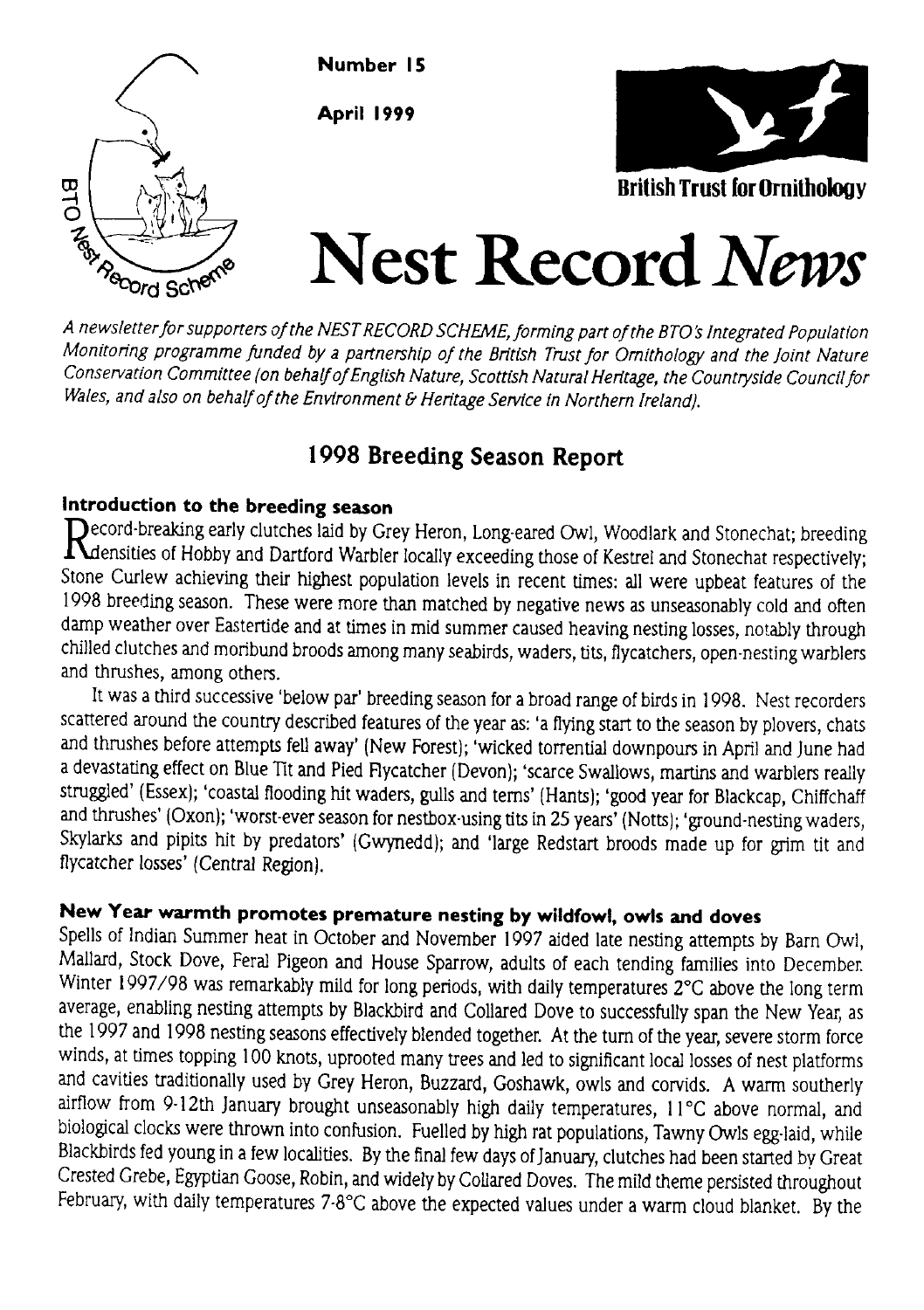

A newsletter for supporters of the NEST RECORD SCHEME, forming part of the BTO's Integrated Population Monitoring programme funded by a partnership of the British Trust for Omithology and the Joint Nature Conservation Committee (on behalf of English Nature, Scottish Natural Heritage, the Countryside Council for Wales, and also on behalf of the Environment & Heritage Service in Northern Ireland).

# 1998 Breeding Season Report

## Introduction to the breeding season

 $\bigcap$ ecord-breaking early clutches laid by Grey Heron, Long-eared Owl, Woodlark and Stonechat; breeding  $\Lambda$ densities of Hobby and Dartford Warbler locally exceeding those of Kestrel and Stonechat respectively; Stone Curlew achieving their highest population levels in recent times: all were upbeat features of the 1998 breeding season. These were more than matched by negative news as unseasonably cold and often damp weather over Eastertide and at times in mid summer caused heaving nesting losses, notably through chilled clutches and moribund broods among many seabirds, waders, tits, Rycatchers, open-nesting wublers and thrushes, among others.

It was a third successive 'below par' breeding season for a broad range of birds in 1998. Nest recorders scattered around the country described features of the year as: 'a flying start to the season by plovers, chats and thrushes before attempts fell away' (New Forest); 'wicked torrential downpours in April and June had a devastating effect on Blue Tit and Pied Flycatcher (Devon); 'scarce Swallows, martins and warblers really struggled' (Essex); 'coastal flooding hit waders, gulls and terns' (Hants); 'good year for Blackcap, Chiffchaff and thrushes' (Oxon); 'worst-ever season for nestbox-using tits in 25 years' (Notts); 'ground-nesting waders, Skylarks and pipits hit by predators' (Gwynedd); and 'large Redstart broods made up for grim tit and flycatcher losses' (Central Region).

## New Year warmth promotes premature nesting by wildfowl, owls and doves

Spells of Indian Summer heat in October and November 1997 aided late nesting attempts by Barn Owl, Mallard, Stock Dove, Feral Pigeon and House Sparrow, adults of each tending families into December. Winter 1997/98 was remarkably mild for long periods, with daily temperatures 2°C above the long term average, enabling nesting attempts by Blackbird and Collared Dove to successfully span the New Year, as the 1997 and 1998 nesting seasons effectively blended together. At the turn of the year, severe storm force winds, at times topping 100 knots, uprooted many trees and led to significant local losses of nest platforms and cavities traditionally used by Grey Heron, Buzzard, Goshawk, owls and corvids. A warm southerly airflow fiom 9-l2th January brought unseasonably high daily temperatures, I l'C above normal, and biological clocks were thrown into confusion. Fuelled by high rat populations, Tawny Owls egg-laid, while Blackbirds fed young in a few localities. By the final few days of January, clutches had been started by Great Crested Crebe, Egyptian Goose, Robin, and widely by Collued Doves. The mild theme persisted throughout February, with daily temperatures  $7.8^{\circ}$ C above the expected values under a warm cloud blanket. By the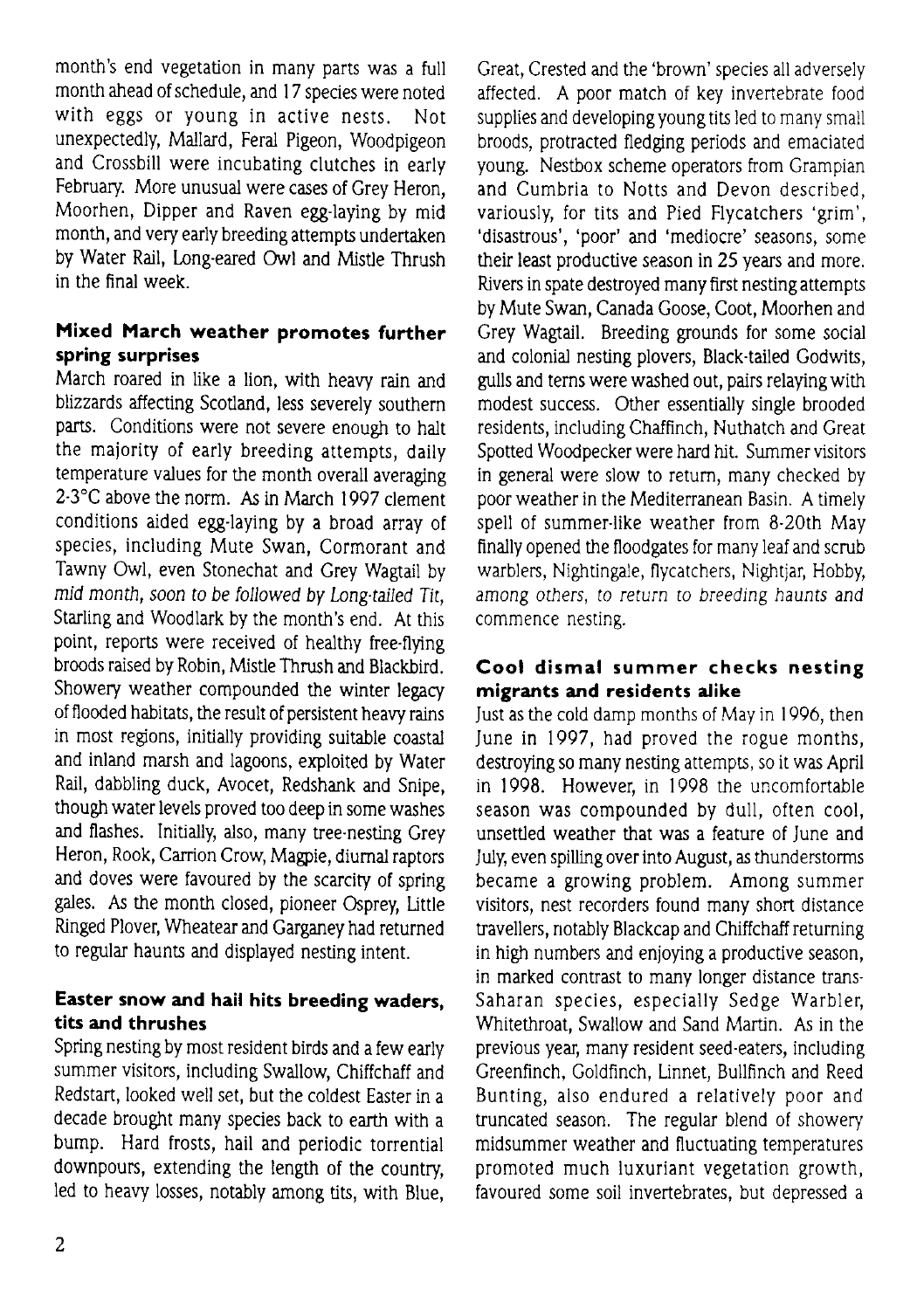month's end vegetation in many parts was a full month ahead of schedule, and l7 species were noted with eggs or young in active nests. Not unexpectedly, Mallard, Feral Pigeon, Woodpigeon and Crossbill were incubating clutches in early February. More unusual were cases of Grey Heron, Moorhen, Dipper and Raven egg-laying by mid month, and very early breeding attempts undertaken by Water Rail, Long-eared Owl and Mistle Thrush in the final week.

### Mixed March weather promotes further spring surprises

March roared in like a lion, with heaw rain and blizzards affecting Scotland, less severely southern parts. Conditions were not severe enough to halt the maiority of early breeding attempts, daily temperature values for the month overall averaging 2-3°C above the norm. As in March 1997 clement conditions aided egg-laying by a broad array of species, including Mute Swan, Cormorant and Tawny Owl, even Stonechat and Grey Wagtail by mid month, soon to be followed by Long.tailed Tit, Starling and Woodlark by the month's end. At this point, reports were received of healthy free-flying broods raised by Robin, Mistle Thrush and Blackbird. Showery weather compounded the winter legacy of flooded habitats, the result of persistent heavy rains in most regions, initially providing suitable coastal and inland marsh and lagoons, exploited by Water Rail, dabbling duck, Avocet, Redshank and Snipe, though water levels proved too deep in some washes and flashes. Initially, also, many tree-nesting Grey Heron, Rook, Carrion Crow, Magpie, diurnal raptors and doves were favoured by the scarcity of spring gales. As the month closed, pioneer Osprey, Little Ringed Plover, Wheatear and Garganey had returned to regular haunts and displayed nesting intent.

### Easter snow and hail hits breeding waders, tits and thrushes

Spring nesting by most resident birds and a few early summer visitors, including Swallow, Chiffchaff and Redstart, looked well set, but the coldest Easter in a decade brought many species back to earth with a bump. Hard frosts, hail and periodic torrential downpours, extending the length of the country led to heavy losses, notably among tits, with Blue, Great, Crested and the'brown'species a1l adversely affected. A poor match of key invertebrate food supplies and developing young tits led to many small broods, protracted fledging periods and emaciated young. Nestbox scheme operators from Crampian and Cumbria to Notts and Devon described, variously, for tits and Pied Flycatchers 'grim', 'disastrous', 'poor' and 'mediocre' seasons, some their least productive season in 25 years and more. Rivers in spate desftoyed many first nesting attempts by Mute Swan, Canada Goose, Coot, Moorhen and Grey Wagtail. Breeding grounds for some social and colonial nesting plovers, Black-tailed Godwits, gulls and tems were washed out, pairs relaying with modest success. Other essentially single brooded residents, including Chaffinch, Nuthatch and Great Spotted Woodpecker were hard hit. Summer visitors in general were slow to retum, many checked by poor weather in the Mediterranean Basin. A timely spell of summer-like weather from 8-20th May finally opened the floodgates for many leaf and scrub warblers, Nightingale, flycatchers, Nightiar, Hobby, among others, to return to breeding haunts and commence nesting.

### Cool dismal summer checks nesting migrants and residents dike

Just as the cold damp months of May in 1996, then June in 1997, had proved the rogue months, destroying so many nesting attempts, so it was April in 1998. However, in 1998 the uncomfortable season was compounded by dull, often cool, unsettled weather that was a feature of June and July, even spilling over into August, as thunderstorms became a growing problem. Among summer visitors, nest recorders found many short distarce travellers, notably Blackcap and Chiffchaff returning in high numbers and enjoying a productive season, in marked contrast to many longer distance trans-Saharan species, especially Sedge Warbler, Whitethroat, Swallow and Sand Martin. As in the previous year, many resident seed-eaters, including Greenfinch, Goldfinch, Linnet, Bullfinch and Reed Bunting, also endured a relatively poor and truncated season. The regular blend of showery midsummer weather and fluctuating temperatures promoted much luxuriant vegetation growth, favoured some soil invertebrates, but depressed a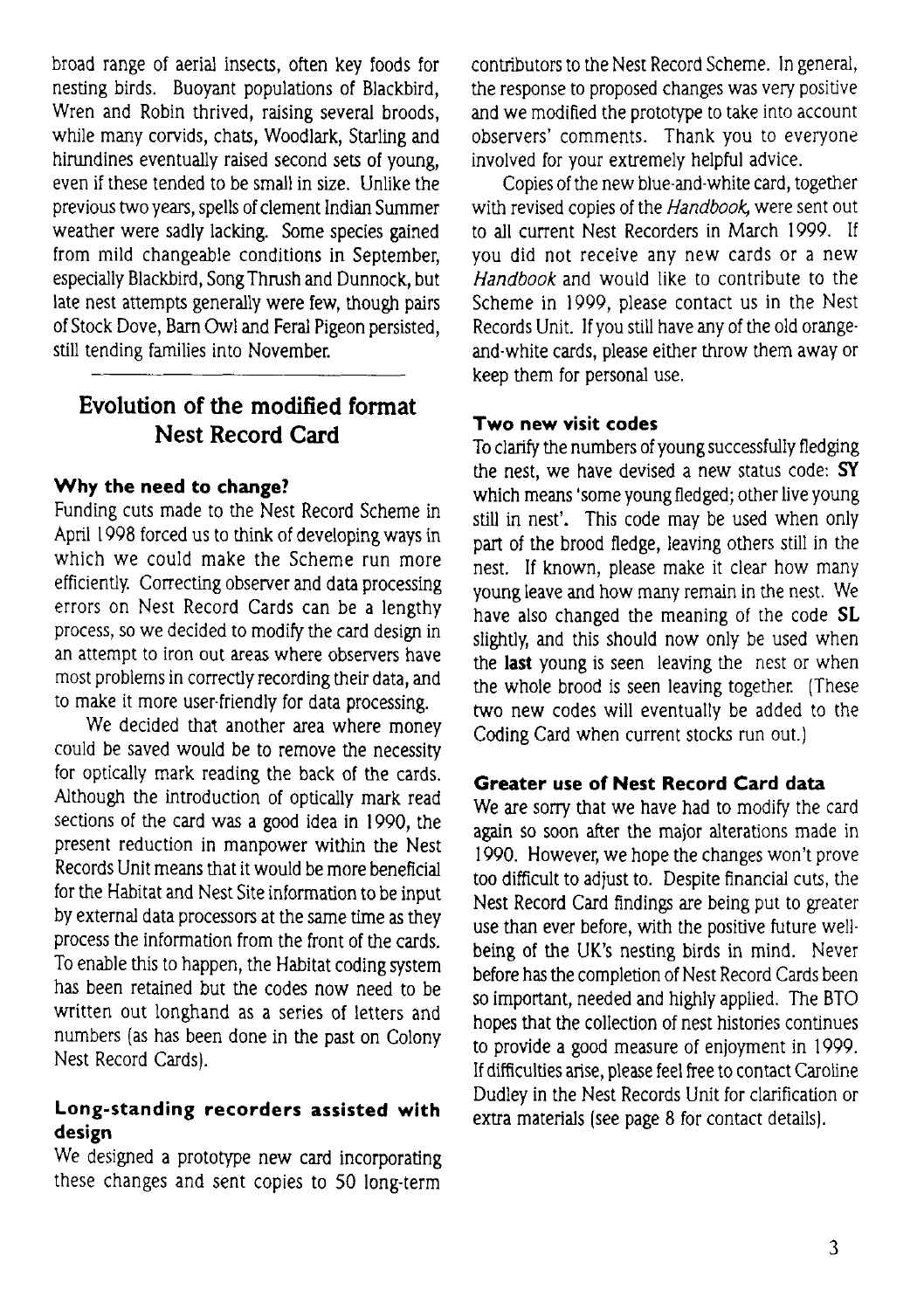broad range of aerial insects, often key foods for nesting birds. Buoyant populations of Blackbird, Wren and Robin thrived, raising several broods, while many corvids, chats, Woodlark, Starling and hirundines eventually raised second sets of young, even if these tended to be small in size. Unlike the previous two years, spells of clement Indian Summer weather were sadly lacking. Some species gained from mild changeable conditions in September, especially Blackbird, Song Thrush and Dunnock, but late nest attempts generally were few, though pairs of Stock Dove, Bam Owl and Feral Pigeon persisted, still tending families into November.

# Evolution of the modified format Nest Record Gard

#### Why the need to change?

Funding cuts made to the Nest Record Scheme in April I 998 forced us to think of developing ways in which we could make the Scheme run more efficiently. Correcting observer and data processing errors on Nest Record Cards can be a lengthy process, so we decided to modify the card design in an attempt to iron out areas where observers have most problems in correctly recording their data, and to make it more user-friendly for data processing.

We decided that another area where money could be saved would be to remove the necessity for optically mark reading the back of the cards. Although the introduction of optically mark read sections of the card was a good idea in 1990, the present reduction in manpower within the Nest Records Unit means that it would be more beneficial for the Habitat and Nest Site information to be input by extemal data processors at the same time as they process the information from the front of the cards. To enable this to happen, the Habitat coding system has been retained but the codes now need to be written out longhand as a series of letters and numbers (as has been done in the past on Colony Nest Record Cards).

#### Long-standing recorders assisted with design

We designed a protofype new card incorporating these changes and sent copies to 50 long-term contributors to the Nest Record Scheme. ln general, the response to proposed changes was very positive and we modifled the prototype to take into account observers' comments. Thank you to everyone involved for your extremely helpful advice.

Copies of the new blue-and-white card, together with revised copies of the Handbook, were sent out to all current Nest Recorders in March 1999. If you did not receive any new cards or a new Handbook and would like to contribute to the Scheme in 1999, please contact us in the Nest Records Unit. If you still have any of the old orangeand-white cards, please either throw them away or keep them for personal use.

#### Two new visit codes

To clarify the numbers of young successfully fledging the nest, we have devised a new status code: SY which means 'some young fledged; other live young still in nest'. This code may be used when only part of the brood fledge, leaving others still in the nest. If known, please make it clear how mary young leave and how many remain in the nest. We have also changed the meaning of the code SL slightly, and this should now only be used when the last young is seen leaving the nest or when the whole brood is seen leaving together. (These two new codes will eventually be added to the Coding Card when current stocks run out.)

#### Greater use of Nest Record Card data

We are sorry that we have had to modify the card again so soon after the major alterations made in 1990. However, we hope the changes won't prove too difficult to adjust to. Despite financial cuts, the Nest Record Card findings are being put to greater use than ever before, with the positive future wellbeing of the UK's nesting birds in mind. Never before has the completion of Nest Record Cards been so important, needed and highly applied. The BTO hopes that the collection of nest histories continues to provide a good measure of enioyment in 1999. If difficulties arise, please feel free to contact Caroline Dudley in the Nest Records Unit for clarification or extra materials (see page 8 for contact details).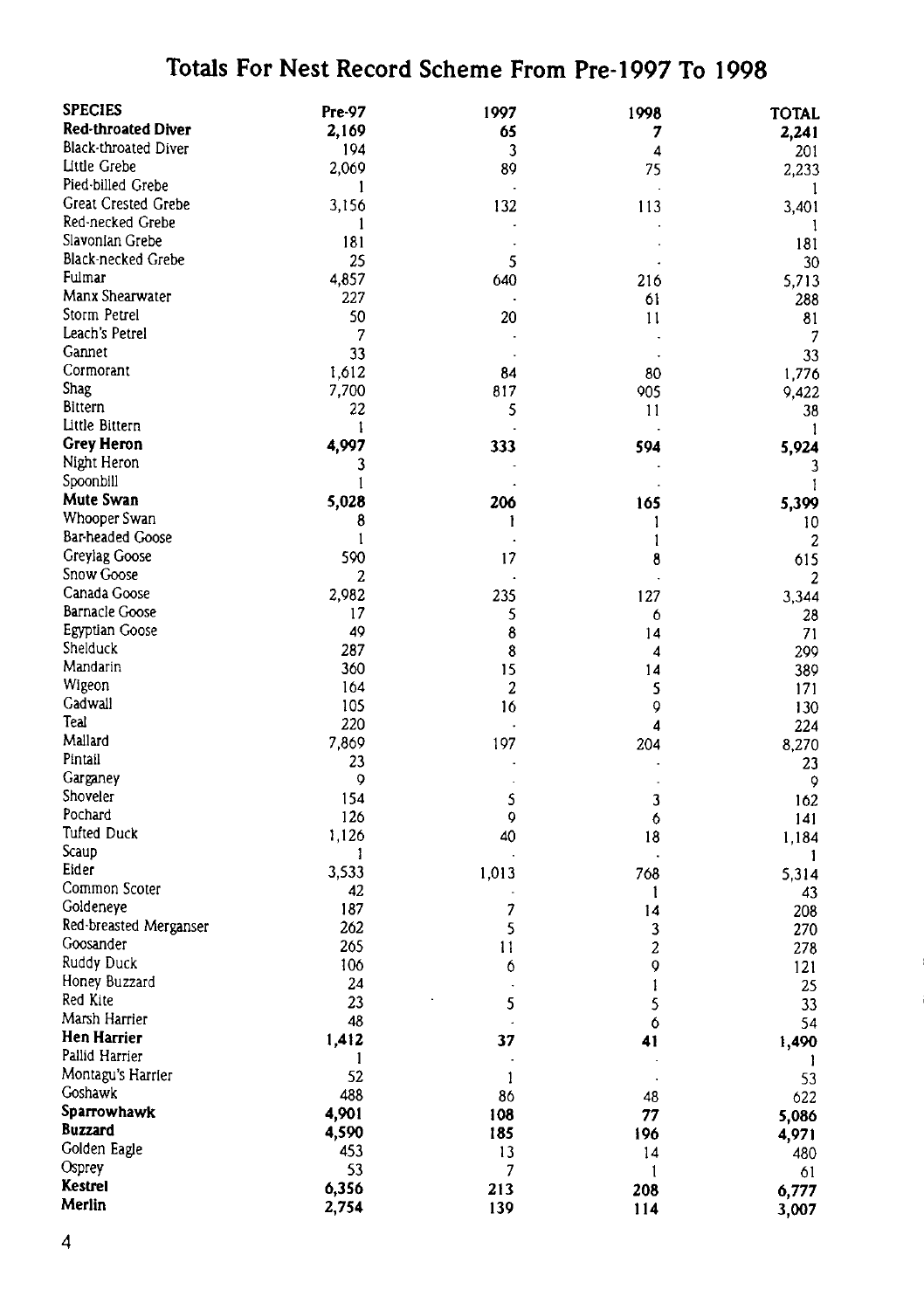# Totals For Nest Record Scheme From Pre-1997 To 1998

| <b>SPECIES</b>            | Pre-97 | 1997                     | 1998                    | <b>TOTAL</b>   |
|---------------------------|--------|--------------------------|-------------------------|----------------|
| <b>Red-throated Diver</b> | 2,169  | 65                       | 7                       | 2.241          |
| Black-throated Diver      | 194    | 3                        | 4                       |                |
| Little Grebe              |        |                          |                         | 201            |
| Pied-billed Grebe         | 2,069  | 89                       | 75                      | 2,233          |
| Great Crested Grebe       | 1      |                          |                         | -1             |
|                           | 3,156  | 132                      | 113                     | 3,401          |
| Red-necked Grebe          | 1      |                          |                         | 1              |
| Slavonian Grebe           | 181    |                          |                         | 181            |
| Black-necked Grebe        | 25     | 5                        |                         | 30             |
| Fulmar                    | 4,857  | 640                      | 216                     | 5,713          |
| Manx Shearwater           | 227    |                          | 61                      | 288            |
| Storm Petrel              | 50     | 20                       | 11                      | 81             |
| Leach's Petrel            | 7      |                          |                         |                |
| Gannet                    | 33     | $\overline{a}$           | l.                      | 33             |
| Cormorant                 | 1.612  | 84                       | 80                      | 1,776          |
| Shag                      | 7,700  | 817                      | 905                     | 9,422          |
| <b>Bittern</b>            | 22     | 5                        | 11                      | 38             |
| Little Bittern            | 1      |                          |                         | 1              |
| <b>Grey Heron</b>         | 4,997  | 333                      | 594                     | 5,924          |
| Night Heron               | 3      |                          |                         |                |
| Spoonbill                 | 1      |                          |                         | 3              |
| Mute Swan                 |        |                          |                         | 1              |
|                           | 5,028  | 206                      | 165                     | 5,399          |
| Whooper Swan              | 8      | ı                        | 1                       | 10             |
| Bar headed Goose          | 1      |                          | 1                       | 2              |
| Greylag Goose             | 590    | 17                       | 8                       | 615            |
| Snow Goose                | 2      |                          |                         | $\overline{2}$ |
| Canada Goose              | 2,982  | 235                      | 127                     | 3.344          |
| <b>Barnacle Goose</b>     | 17     | 5                        | 6                       | 28             |
| Egyptian Goose            | 49     | 8                        | 14                      | 71             |
| Shelduck                  | 287    | 8                        | 4                       | 299            |
| Mandarin                  | 360    | 15                       | 14                      | 389            |
| Wigeon                    | 164    | 2                        | 5                       | 171            |
| Gadwall                   | 105    | 16                       | 0                       | 130            |
| Teal                      | 220    |                          | $\overline{\mathbf{A}}$ | 224            |
| Mallard                   | 7,869  | 197                      | 204                     | 8,270          |
| Pintail                   | 23     |                          |                         | 23             |
| Garganey                  | 9      |                          |                         | 9              |
| Shoveler                  | 154    | 5                        | 3                       | 162            |
| Pochard                   | 126    | 0                        | 6                       |                |
| <b>Tufted Duck</b>        | 1,126  | 40                       |                         | 141            |
| Scaup                     |        |                          | 18                      | 1,184          |
| Eider                     | 1      |                          |                         | 1              |
| Common Scoter             | 3,533  | 1,013                    | 768                     | 5.314          |
|                           | 42     |                          | 1                       | 43             |
| Goldeneye                 | 187    | $\overline{\phantom{a}}$ | 14                      | 208            |
| Red-breasted Merganser    | 262    | 5                        | 3                       | 270            |
| Goosander                 | 265    | $\mathbf{1}$             | 2                       | 278            |
| Ruddy Duck                | 106    | 6                        | $\mathsf{Q}$            | 121            |
| Honey Buzzard             | 24     | $\cdot$                  | 1                       | 25             |
| Red Kite                  | 23     | 5                        | 5                       | 33             |
| Marsh Harrier             | 48     | J.                       | 6                       | 54             |
| Hen Harrier               | 1,412  | 37                       | 41                      | 1,490          |
| Pallid Harrier            | 1      | ×                        |                         | -1             |
| Montagu's Harrier         | 52     | $\mathbf{1}$             |                         | 53             |
| Goshawk                   | 488    | 86                       | 48                      | 622            |
| Sparrowhawk               | 4,901  | 108                      | 77                      | 5,086          |
| <b>Buzzard</b>            | 4,590  | 185                      | 196                     | 4,971          |
| Golden Eagle              | 453    | 13                       | 14                      |                |
| Osprey                    | 53     | 7                        |                         | 480            |
| Kestrel                   |        |                          | 1                       | 61             |
| Merlin                    | 6,356  | 213                      | 208                     | 6,777          |
|                           | 2,754  | 139                      | 114                     | 3,007          |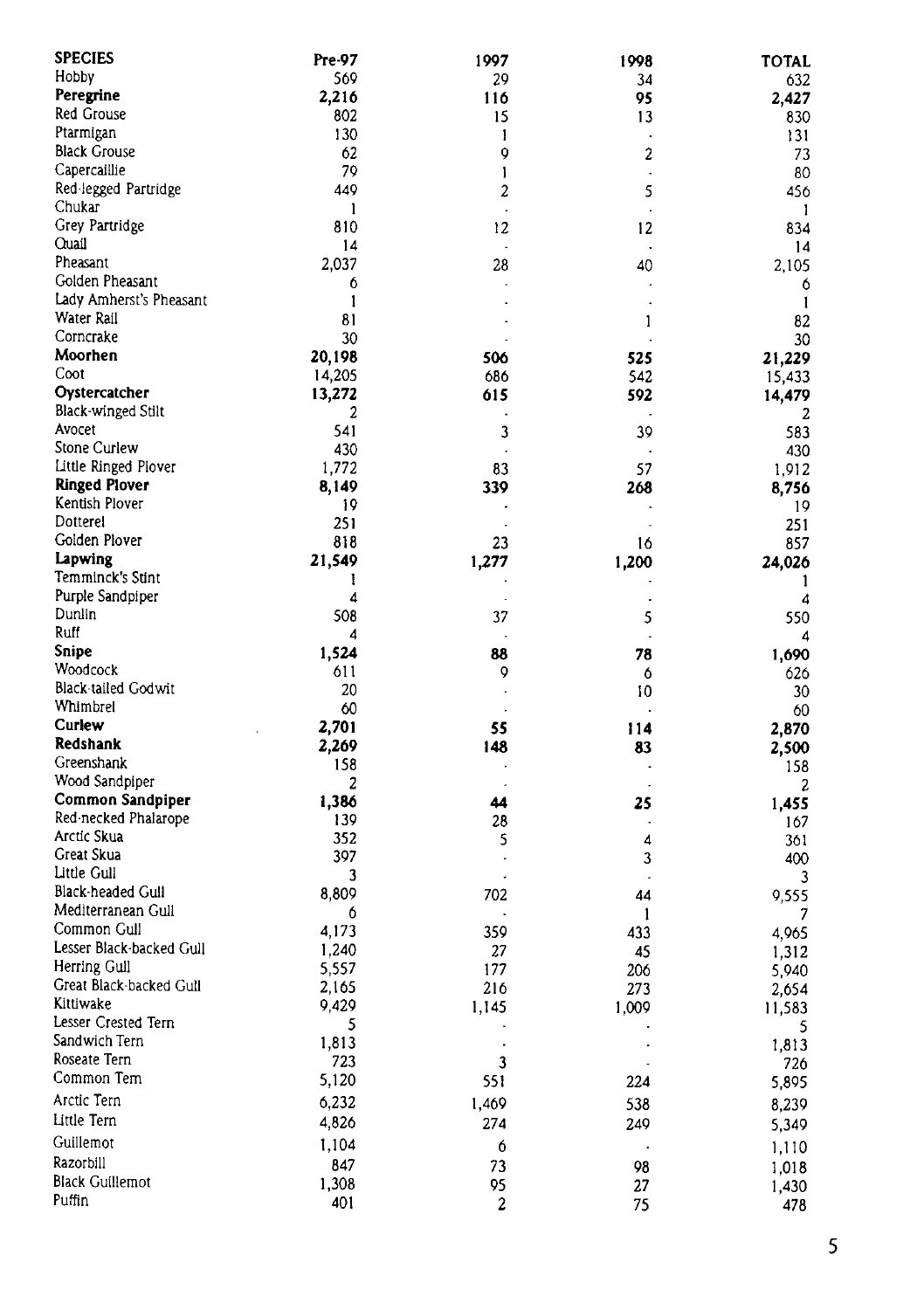| <b>SPECIES</b>           | Pre-97 | 1997                 | 1998                 | <b>TOTAL</b> |
|--------------------------|--------|----------------------|----------------------|--------------|
| Hobby                    | 569    | 29                   | 34                   | 632          |
| Peregrine                | 2,216  | 116                  | 95                   | 2,427        |
| Red Grouse               | 802    | 15                   | 13                   | 830          |
| Ptarmigan                | 130    | 1                    | ÷,                   | 131          |
| <b>Black Grouse</b>      | 62     | 9                    | 2                    | 73           |
| Capercaillie             | 79     | 1                    | k,                   | 80           |
| Red-legged Partridge     | 449    | 2                    | 5                    | 456          |
| Chukar                   | 1      |                      |                      | 1            |
| Grey Partridge           | 810    | 12                   | 12                   | 834          |
| Quail                    | 14     | $\Delta$             | ÷,                   | 14           |
| Pheasant                 | 2,037  | 28                   | 40                   | 2,105        |
| Golden Pheasant          | 6      |                      |                      | 6            |
| Lady Amherst's Pheasant  | 1      |                      |                      | $\mathbf{1}$ |
| Water Rail               | 81     |                      | 1                    | 82           |
| Corncrake                | 30     |                      |                      | 30           |
| Moorhen                  | 20,198 | 506                  | 525                  | 21,229       |
| Coot                     | 14,205 | 686                  | 542                  | 15,433       |
| Oystercatcher            | 13,272 | 615                  | 592                  | 14,479       |
| Black-winged Stilt       | 2      |                      |                      | 2            |
| Avocet                   | 541    | 3                    | 39                   | 583          |
| Stone Curlew             | 430    | $\ddot{\phantom{0}}$ |                      | 430          |
| Little Ringed Plover     | 1,772  | 83                   | 57                   | 1,912        |
| <b>Ringed Plover</b>     | 8,149  | 339                  | 268                  | 8,756        |
| Kentish Plover           | 19     |                      |                      | 19           |
| Dotterel                 | 251    |                      |                      | 251          |
| Golden Plover            | 818    | 23                   | 16                   | 857          |
| Lapwing                  | 21,549 | 1,277                | 1,200                | 24,026       |
| Temminck's Stint         | ı      |                      |                      | 1            |
| Purple Sandpiper         | 4      |                      |                      | 4            |
| Dunlin                   | 508    | 37                   | 5                    | 550          |
| Ruff                     | 4      |                      |                      | 4            |
| Snipe                    | 1,524  | 88                   | 78                   | 1,690        |
| Woodcock                 | 611    | 9                    | 6                    | 626          |
| Black-tailed Godwit      | 20     |                      | 10                   | 30           |
| Whimbrel                 | 60     |                      |                      | 60           |
| Curlew                   | 2,701  | 55                   | 114                  | 2,870        |
| Redshank                 | 2,269  | 148                  | 83                   | 2,500        |
| Greenshank               | 158    |                      |                      | 158          |
| Wood Sandpiper           | 2      |                      |                      | 2            |
| Common Sandpiper         | 1,386  | 44                   | 25                   | 1,455        |
| Red-necked Phalarope     | 139    | 28                   |                      | 167          |
| Arctic Skua              | 352    | 5                    | 4                    | 361          |
| Great Skua               | 397    |                      | 3                    | 400          |
| Little Gull              | 3      |                      |                      | 3            |
| Black-headed Gull        | 8,809  | 702                  | 44                   | 9,555        |
| Mediterranean Gull       | 6      |                      | 1                    | 7            |
| Common Gull              | 4,173  | 359                  | 433                  | 4,965        |
| Lesser Black-backed Gull | 1,240  | 27                   | 45                   | 1,312        |
| Herring Gull             | 5,557  | 177                  | 206                  | 5,940        |
| Great Black-backed Gull  | 2,165  | 216                  | 273                  | 2,654        |
| Kittiwake                | 9,429  | 1,145                | 1,009                | 11,583       |
| Lesser Crested Tern      | 5      | $\ddot{\phantom{0}}$ |                      | 5            |
| Sandwich Tern            | 1,813  | $\cdot$              | $\ddot{\phantom{a}}$ | 1,813        |
| Roseate Tern             | 723    | $\mathbf 3$          |                      | 726          |
| Common Tem               | 5,120  | 551                  | 224                  | 5,895        |
| Arctic Tern              | 6,232  |                      |                      |              |
| Little Tern              |        | 1,469                | 538                  | 8,239        |
|                          | 4,826  | 274                  | 249                  | 5,349        |
| Guillemot                | 1,104  | 6                    |                      | 1,110        |
| Razorbill                | 847    | 73                   | 98                   | 1,018        |
| Black Guillemot          | 1,308  | 95                   | 27                   | 1,430        |
| Puffin                   | 401    | 2                    | 75                   | 478          |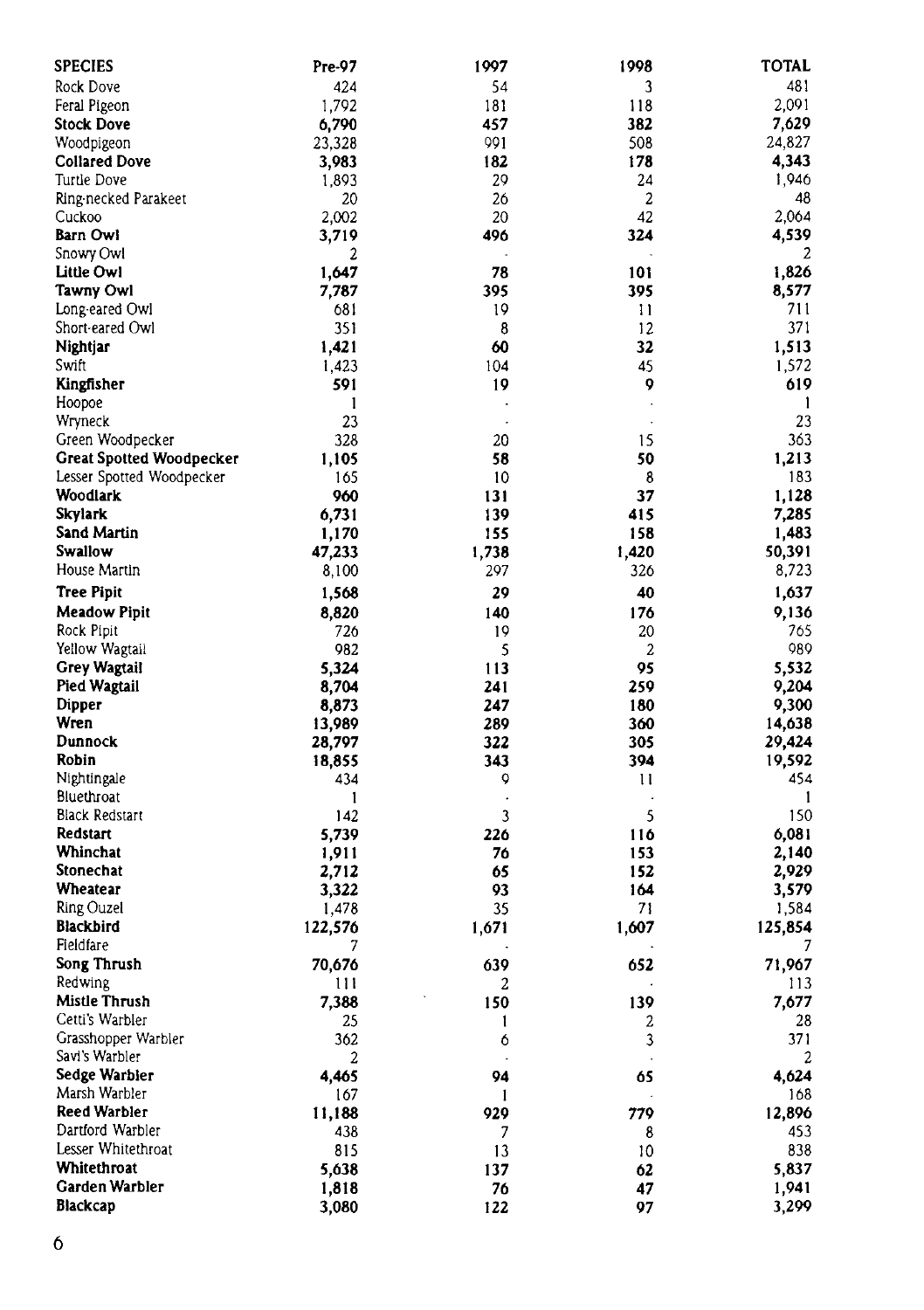| <b>SPECIES</b>                  | Pre-97  | 1997  | 1998    | <b>TOTAL</b> |
|---------------------------------|---------|-------|---------|--------------|
| Rock Dove                       | 424     | 54    | 3       | 481          |
| Feral Pigeon                    | 1,792   | 181   | 118     | 2,091        |
| Stock Dove                      | 6,790   | 457   | 382     | 7,629        |
| Woodpigeon                      | 23,328  | 991   | 508     | 24,827       |
| <b>Collared Dove</b>            | 3,983   | 182   | 178     | 4,343        |
| Turtle Dove                     | 1,893   | 29    | 24      | 1,946        |
| Ring necked Parakeet            | 20      | 26    | 2       | 48           |
| Cuckoo                          | 2,002   | 20    | 42      | 2.064        |
| Barn Owl                        | 3,719   | 496   | 324     | 4,539        |
| Snowy Owl                       | 2       |       |         | 2            |
| Little Owl                      | 1,647   | 78    | 101     | 1,826        |
| Tawny Owl                       | 7,787   | 395   | 395     | 8,577        |
| Long eared Owl                  | 681     | 19    | 11      | 711          |
| Short-eared Owl                 | 351     | 8     | 12      | 371          |
| Nightjar                        | 1,421   | 60    | 32      | 1,513        |
| Swift                           | 1,423   | 104   | 45      | 1,572        |
| Kingfisher                      | 591     | 19    | 9       | 619          |
| Hoopoe                          | 1       | ٠     | $\cdot$ | 1            |
| Wryneck                         | 23      |       |         | 23           |
| Green Woodpecker                | 328     | 20    | 15      | 363          |
| <b>Great Spotted Woodpecker</b> | 1,105   | 58    | 50      | 1,213        |
| Lesser Spotted Woodpecker       | 165     | 10    | 8       | 183          |
| Woodlark                        | 960     | 131   | 37      | 1,128        |
| <b>Skylark</b>                  | 6,731   | 139   | 415     | 7,285        |
| Sand Martin                     | 1,170   | 155   | 158     | 1,483        |
| Swallow                         | 47,233  | 1,738 | 1,420   | 50,391       |
| House Martin                    | 8,100   | 297   | 326     | 8,723        |
| <b>Tree Pipit</b>               | 1,568   | 29    | 40      | 1,637        |
| <b>Meadow Pipit</b>             | 8,820   | 140   | 176     | 9,136        |
| Rock Pipit                      | 726     | 19    | 20      | 765          |
| Yellow Wagtail                  | 982     | 5     | 2       | 989          |
| Grey Wagtail                    | 5,324   | 113   | 95      | 5,532        |
| Pied Wagtail                    | 8,704   | 241   | 259     | 9,204        |
| Dipper                          | 8,873   | 247   | 180     | 9,300        |
| Wren                            | 13,989  | 289   | 360     | 14,638       |
| Dunnock                         | 28,797  | 322   | 305     | 29,424       |
| Robin                           | 18,855  | 343   | 394     | 19,592       |
| Nightingale                     | 434     | 9     | Ħ       | 454          |
| Bluethroat                      | 1       |       |         | 1            |
| <b>Black Redstart</b>           | 142     | 3     | 5       | 150          |
| Redstart                        | 5,739   | 226   | 116     | 6,081        |
| Whinchat                        | 1,911   | 76    | 153     | 2,140        |
| Stonechat                       | 2,712   | 65    | 152     | 2,929        |
| Wheatear                        | 3,322   | 93    | 164     | 3,579        |
| Ring Ouzel                      | 1,478   | 35    | 71      | 1,584        |
| <b>Blackbird</b>                | 122,576 | 1,671 | 1,607   | 125,854      |
| Fieldfare                       | 7       |       |         | 7            |
| Song Thrush                     | 70,676  | 639   | 652     | 71,967       |
| Redwing                         | 111     | 2     |         | 113          |
| Mistle Thrush                   | 7,388   | 150   | 139     | 7,677        |
| Cetti's Warbler                 | 25      | 1     | 2       | 28           |
| Grasshopper Warbler             | 362     | 6     | 3       | 371          |
| Savi's Warbler                  | 2       |       |         | 2            |
| Sedge Warbier                   | 4,465   | 94    | 65      | 4,624        |
| Marsh Warbler                   | 167     | 1     |         | 168          |
| <b>Reed Warbler</b>             | 11,188  | 929   | 779     | 12,896       |
| Dartford Warbler                | 438     | 7     | 8       | 453          |
| Lesser Whitethroat              | 815     | 13    | 10      | 838          |
| Whitethroat                     | 5,638   | 137   | 62      | 5,837        |
| Garden Warbler                  | 1,818   | 76    | 47      | 1,941        |
| <b>Blackcap</b>                 | 3,080   | 122   | 97      | 3,299        |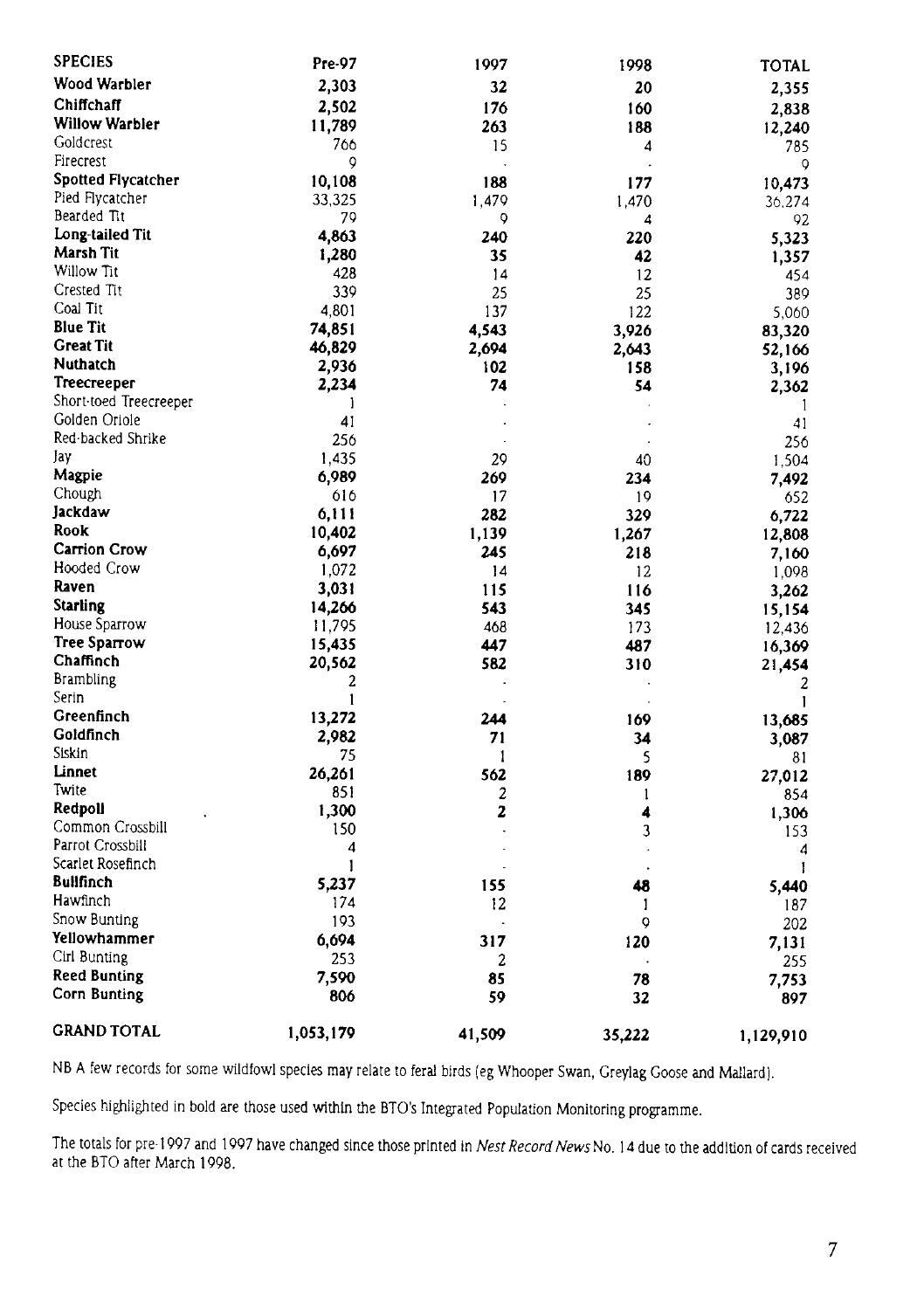| <b>SPECIES</b>            | Pre-97       | 1997   | 1998                 | <b>TOTAL</b> |
|---------------------------|--------------|--------|----------------------|--------------|
| Wood Warbler              | 2,303        | 32     | 20                   | 2,355        |
| Chiffchaff                | 2,502        | 176    | 160                  | 2,838        |
| Willow Warbler            | 11,789       | 263    | 188                  | 12,240       |
| Goldcrest                 | 766          | 15     | 4                    | 785          |
| Firecrest                 | 9            |        |                      | 9            |
| <b>Spotted Flycatcher</b> | 10,108       | 188    | 177                  | 10,473       |
| Pied Flycatcher           | 33,325       | 1,479  | 1,470                | 36,274       |
| Bearded Tit               | 79           | 9      | 4                    | 92           |
| Long-tailed Tit           | 4,863        | 240    | 220                  | 5,323        |
| <b>Marsh Tit</b>          | 1,280        | 35     | 42                   | 1,357        |
| Willow Tit                | 428          | 14     | 12                   | 454          |
| Crested Tit               | 339          | 25     | 25                   | 389          |
| Coal Tit                  | 4,801        | 137    | 122                  | 5,060        |
| <b>Blue Tit</b>           | 74,851       | 4,543  | 3,926                | 83,320       |
| <b>Great Tit</b>          | 46,829       | 2,694  | 2,643                | 52,166       |
| Nuthatch                  | 2,936        | 102    | 158                  | 3.196        |
| Treecreeper               | 2,234        | 74     | 54                   | 2,362        |
| Short-toed Treecreeper    | 1            |        |                      | $\mathbf{1}$ |
| Golden Oriole             | 41           |        |                      | 41           |
| Red-backed Shrike         | 256          |        |                      | 256          |
| Jay                       | 1.435        | 29     | 40                   | 1,504        |
| Magpie                    | 6,989        | 269    | 234                  | 7.492        |
| Chough                    | 616          | 17     | 19                   | 652          |
| Jackdaw                   | 6,111        | 282    | 329                  | 6,722        |
| Rook                      | 10,402       | 1,139  | 1,267                | 12,808       |
| <b>Carrion Crow</b>       | 6,697        | 245    | 218                  | 7,160        |
| Hooded Crow               | 1,072        | 14     | 12                   | 1,098        |
| Raven                     | 3,031        | 115    | 116                  | 3,262        |
| <b>Starling</b>           | 14,266       | 543    | 345                  | 15,154       |
| House Sparrow             | 11,795       | 468    | 173                  | 12,436       |
| Tree Sparrow              | 15,435       | 447    | 487                  | 16,369       |
| Chaffinch                 | 20,562       | 582    | 310                  | 21,454       |
| <b>Brambling</b>          | 2            |        |                      | 2            |
| Serin                     | $\mathbf{1}$ |        |                      | $\mathbf{1}$ |
| Greenfinch                | 13,272       | 244    | 169                  | 13,685       |
| Goldfinch                 | 2,982        | 71     | 34                   | 3,087        |
| Siskin                    | 75           | 1      | 5                    | 81           |
| Linnet                    | 26,261       | 562    | 189                  | 27,012       |
| Twite                     | 851          | 2      | 1                    | 854          |
| Redpoll                   | 1,300        | 2      | 4                    | 1,306        |
| Common Crossbill          | 150          |        | 3                    | 153          |
| Parrot Crossbill          | 4            |        | $\ddot{\phantom{0}}$ | 4            |
| Scarlet Rosefinch         | 1            |        |                      | 1            |
| Bullfinch                 | 5,237        | 155    | 48                   | 5,440        |
| Hawfinch                  | 174          | 12     | 1                    | 187          |
| Snow Bunting              | 193          |        | Q                    | 202          |
| Yellowhammer              | 6,694        | 317    | 120                  | 7,131        |
| Cirl Bunting              | 253          | 2      |                      | 255          |
| Reed Bunting              | 7,590        | 85     | 78                   | 7,753        |
| Corn Bunting              | 806          | 59     | 32                   | 897          |
| <b>GRAND TOTAL</b>        | 1,053,179    | 41,509 | 35,222               | 1,129,910    |

NB A few records for some wildfowl species may relate to feral birds (eg Whooper Swan, Greylag Goose and Mallard).

Species highlighted in bold are those used within the BTO's Integrated Population Monitoring programme.

The totals for pre-1997 and 1997 have changed since those printed in Nest Record News No. 14 due to the addition of cards received at the BTO after March 1998